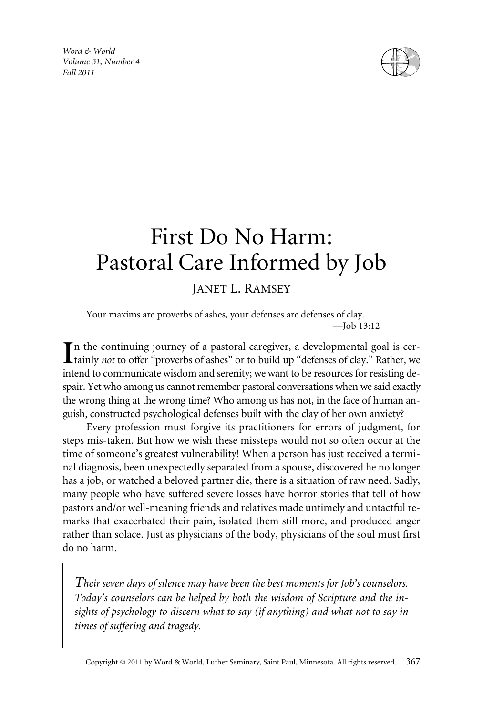*Word & World Volume 31, Number 4 Fall 2011*



# First Do No Harm: Pastoral Care Informed by Job

## JANET L. RAMSEY

Your maxims are proverbs of ashes, your defenses are defenses of clay. —Job 13:12

In the continuing journey of a pastoral caregiver, a developmental goal is certainly *not* to offer "proverbs of ashes" or to build up "defenses of clay." Rather, we tainly *not* to offer "proverbs of ashes" or to build up "defenses of clay." Rather, we intend to communicate wisdom and serenity; we want to be resources for resisting despair. Yet who among us cannot remember pastoral conversations when we said exactly the wrong thing at the wrong time? Who among us has not, in the face of human anguish, constructed psychological defenses built with the clay of her own anxiety?

Every profession must forgive its practitioners for errors of judgment, for steps mis-taken. But how we wish these missteps would not so often occur at the time of someone's greatest vulnerability! When a person has just received a terminal diagnosis, been unexpectedly separated from a spouse, discovered he no longer has a job, or watched a beloved partner die, there is a situation of raw need. Sadly, many people who have suffered severe losses have horror stories that tell of how pastors and/or well-meaning friends and relatives made untimely and untactful remarks that exacerbated their pain, isolated them still more, and produced anger rather than solace. Just as physicians of the body, physicians of the soul must first do no harm.

*Their seven days of silence may have been the best moments for Job's counselors. Today's counselors can be helped by both the wisdom of Scripture and the insights of psychology to discern what to say (if anything) and what not to say in times of suffering and tragedy.*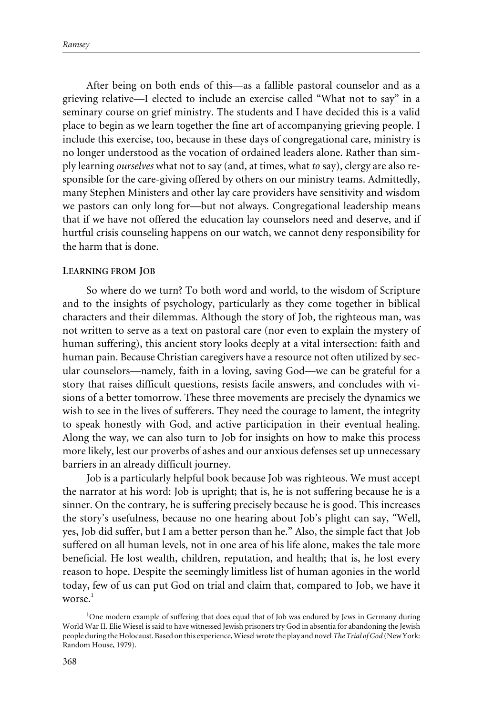After being on both ends of this—as a fallible pastoral counselor and as a grieving relative—I elected to include an exercise called "What not to say" in a seminary course on grief ministry. The students and I have decided this is a valid place to begin as we learn together the fine art of accompanying grieving people. I include this exercise, too, because in these days of congregational care, ministry is no longer understood as the vocation of ordained leaders alone. Rather than simply learning *ourselves* what not to say (and, at times, what *to* say), clergy are also responsible for the care-giving offered by others on our ministry teams. Admittedly, many Stephen Ministers and other lay care providers have sensitivity and wisdom we pastors can only long for—but not always. Congregational leadership means that if we have not offered the education lay counselors need and deserve, and if hurtful crisis counseling happens on our watch, we cannot deny responsibility for the harm that is done.

#### **LEARNING FROM JOB**

So where do we turn? To both word and world, to the wisdom of Scripture and to the insights of psychology, particularly as they come together in biblical characters and their dilemmas. Although the story of Job, the righteous man, was not written to serve as a text on pastoral care (nor even to explain the mystery of human suffering), this ancient story looks deeply at a vital intersection: faith and human pain. Because Christian caregivers have a resource not often utilized by secular counselors—namely, faith in a loving, saving God—we can be grateful for a story that raises difficult questions, resists facile answers, and concludes with visions of a better tomorrow. These three movements are precisely the dynamics we wish to see in the lives of sufferers. They need the courage to lament, the integrity to speak honestly with God, and active participation in their eventual healing. Along the way, we can also turn to Job for insights on how to make this process more likely, lest our proverbs of ashes and our anxious defenses set up unnecessary barriers in an already difficult journey.

Job is a particularly helpful book because Job was righteous. We must accept the narrator at his word: Job is upright; that is, he is not suffering because he is a sinner. On the contrary, he is suffering precisely because he is good. This increases the story's usefulness, because no one hearing about Job's plight can say, "Well, yes, Job did suffer, but I am a better person than he." Also, the simple fact that Job suffered on all human levels, not in one area of his life alone, makes the tale more beneficial. He lost wealth, children, reputation, and health; that is, he lost every reason to hope. Despite the seemingly limitless list of human agonies in the world today, few of us can put God on trial and claim that, compared to Job, we have it worse. $1$ 

<sup>&</sup>lt;sup>1</sup>One modern example of suffering that does equal that of Job was endured by Jews in Germany during World War II. Elie Wiesel is said to have witnessed Jewish prisoners try God in absentia for abandoning the Jewish people during the Holocaust. Based on this experience, Wiesel wrote the play and novel *The Trial of God* (New York: Random House, 1979).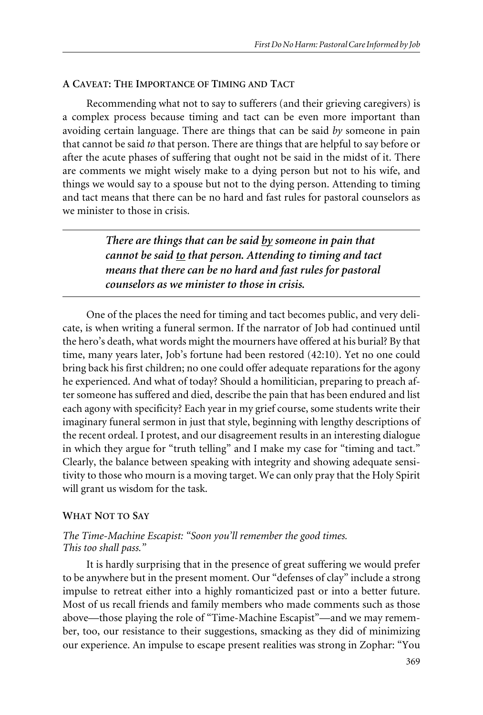#### **A CAVEAT: THE IMPORTANCE OF TIMING AND TACT**

Recommending what not to say to sufferers (and their grieving caregivers) is a complex process because timing and tact can be even more important than avoiding certain language. There are things that can be said *by* someone in pain that cannot be said *to* that person. There are things that are helpful to say before or after the acute phases of suffering that ought not be said in the midst of it. There are comments we might wisely make to a dying person but not to his wife, and things we would say to a spouse but not to the dying person. Attending to timing and tact means that there can be no hard and fast rules for pastoral counselors as we minister to those in crisis.

> *There are things that can be said by someone in pain that cannot be said to that person. Attending to timing and tact means that there can be no hard and fast rules for pastoral counselors as we minister to those in crisis.*

One of the places the need for timing and tact becomes public, and very delicate, is when writing a funeral sermon. If the narrator of Job had continued until the hero's death, what words might the mourners have offered at his burial? By that time, many years later, Job's fortune had been restored (42:10). Yet no one could bring back his first children; no one could offer adequate reparations for the agony he experienced. And what of today? Should a homilitician, preparing to preach after someone has suffered and died, describe the pain that has been endured and list each agony with specificity? Each year in my grief course, some students write their imaginary funeral sermon in just that style, beginning with lengthy descriptions of the recent ordeal. I protest, and our disagreement results in an interesting dialogue in which they argue for "truth telling" and I make my case for "timing and tact." Clearly, the balance between speaking with integrity and showing adequate sensitivity to those who mourn is a moving target. We can only pray that the Holy Spirit will grant us wisdom for the task.

## **WHAT NOT TO SAY**

## *The Time-Machine Escapist: "Soon you'll remember the good times. This too shall pass."*

It is hardly surprising that in the presence of great suffering we would prefer to be anywhere but in the present moment. Our "defenses of clay" include a strong impulse to retreat either into a highly romanticized past or into a better future. Most of us recall friends and family members who made comments such as those above—those playing the role of "Time-Machine Escapist"—and we may remember, too, our resistance to their suggestions, smacking as they did of minimizing our experience. An impulse to escape present realities was strong in Zophar: "You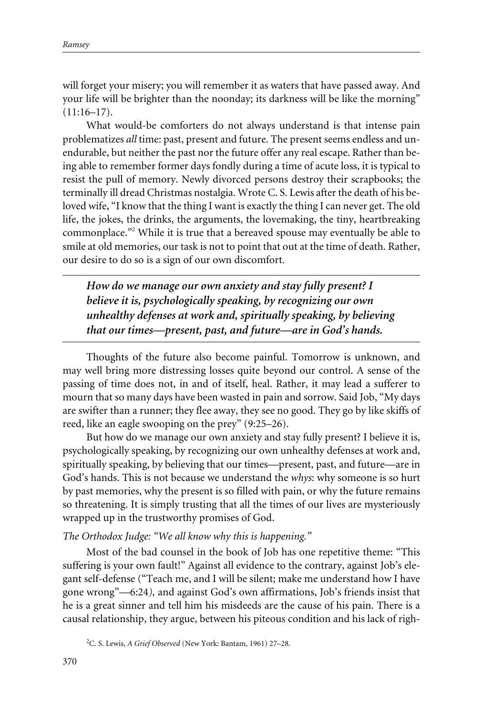will forget your misery; you will remember it as waters that have passed away. And your life will be brighter than the noonday; its darkness will be like the morning"  $(11:16-17)$ .

What would-be comforters do not always understand is that intense pain problematizes *all* time: past, present and future. The present seems endless and unendurable, but neither the past nor the future offer any real escape. Rather than being able to remember former days fondly during a time of acute loss, it is typical to resist the pull of memory. Newly divorced persons destroy their scrapbooks; the terminally ill dread Christmas nostalgia. Wrote C. S. Lewis after the death of his beloved wife, "I know that the thing I want is exactly the thing I can never get. The old life, the jokes, the drinks, the arguments, the lovemaking, the tiny, heartbreaking commonplace."<sup>2</sup> While it is true that a bereaved spouse may eventually be able to smile at old memories, our task is not to point that out at the time of death. Rather, our desire to do so is a sign of our own discomfort.

*How do we manage our own anxiety and stay fully present? I believe it is, psychologically speaking, by recognizing our own unhealthy defenses at work and, spiritually speaking, by believing that our times—present, past, and future—are in God's hands.*

Thoughts of the future also become painful. Tomorrow is unknown, and may well bring more distressing losses quite beyond our control. A sense of the passing of time does not, in and of itself, heal. Rather, it may lead a sufferer to mourn that so many days have been wasted in pain and sorrow. Said Job, "My days are swifter than a runner; they flee away, they see no good. They go by like skiffs of reed, like an eagle swooping on the prey" (9:25–26).

But how do we manage our own anxiety and stay fully present? I believe it is, psychologically speaking, by recognizing our own unhealthy defenses at work and, spiritually speaking, by believing that our times—present, past, and future—are in God's hands. This is not because we understand the *whys*: why someone is so hurt by past memories, why the present is so filled with pain, or why the future remains so threatening. It is simply trusting that all the times of our lives are mysteriously wrapped up in the trustworthy promises of God.

## *The Orthodox Judge: "We all know why this is happening."*

Most of the bad counsel in the book of Job has one repetitive theme: "This suffering is your own fault!" Against all evidence to the contrary, against Job's elegant self-defense ("Teach me, and I will be silent; make me understand how I have gone wrong"—6:24*),* and against God's own affirmations, Job's friends insist that he is a great sinner and tell him his misdeeds are the cause of his pain. There is a causal relationship, they argue, between his piteous condition and his lack of righ-

<sup>2</sup> C. S. Lewis, *A Grief Observed* (New York: Bantam, 1961) 27–28.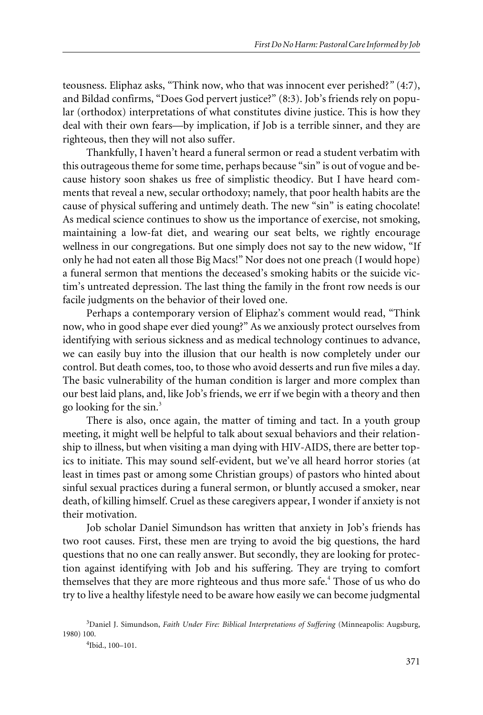teousness. Eliphaz asks, "Think now, who that was innocent ever perished?*"* (4:7), and Bildad confirms, "Does God pervert justice?" (8:3). Job's friends rely on popular (orthodox) interpretations of what constitutes divine justice. This is how they deal with their own fears—by implication, if Job is a terrible sinner, and they are righteous, then they will not also suffer.

Thankfully, I haven't heard a funeral sermon or read a student verbatim with this outrageous theme for some time, perhaps because "sin" is out of vogue and because history soon shakes us free of simplistic theodicy. But I have heard comments that reveal a new, secular orthodoxy; namely, that poor health habits are the cause of physical suffering and untimely death. The new "sin" is eating chocolate! As medical science continues to show us the importance of exercise, not smoking, maintaining a low-fat diet, and wearing our seat belts, we rightly encourage wellness in our congregations. But one simply does not say to the new widow, "If only he had not eaten all those Big Macs!" Nor does not one preach (I would hope) a funeral sermon that mentions the deceased's smoking habits or the suicide victim's untreated depression. The last thing the family in the front row needs is our facile judgments on the behavior of their loved one.

Perhaps a contemporary version of Eliphaz's comment would read, "Think now, who in good shape ever died young?" As we anxiously protect ourselves from identifying with serious sickness and as medical technology continues to advance, we can easily buy into the illusion that our health is now completely under our control. But death comes, too, to those who avoid desserts and run five miles a day. The basic vulnerability of the human condition is larger and more complex than our best laid plans, and, like Job's friends, we err if we begin with a theory and then go looking for the  $sin<sup>3</sup>$ 

There is also, once again, the matter of timing and tact. In a youth group meeting, it might well be helpful to talk about sexual behaviors and their relationship to illness, but when visiting a man dying with HIV-AIDS, there are better topics to initiate. This may sound self-evident, but we've all heard horror stories (at least in times past or among some Christian groups) of pastors who hinted about sinful sexual practices during a funeral sermon, or bluntly accused a smoker, near death, of killing himself. Cruel as these caregivers appear, I wonder if anxiety is not their motivation.

Job scholar Daniel Simundson has written that anxiety in Job's friends has two root causes. First, these men are trying to avoid the big questions, the hard questions that no one can really answer. But secondly, they are looking for protection against identifying with Job and his suffering. They are trying to comfort themselves that they are more righteous and thus more safe.<sup>4</sup> Those of us who do try to live a healthy lifestyle need to be aware how easily we can become judgmental

4 Ibid., 100–101.

<sup>3</sup> Daniel J. Simundson, *Faith Under Fire: Biblical Interpretations of Suffering* (Minneapolis: Augsburg, 1980) 100.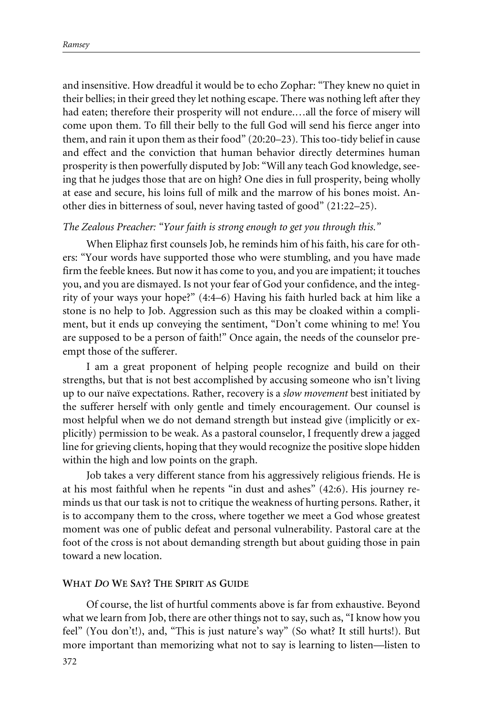and insensitive. How dreadful it would be to echo Zophar: "They knew no quiet in their bellies; in their greed they let nothing escape. There was nothing left after they had eaten; therefore their prosperity will not endure.…all the force of misery will come upon them. To fill their belly to the full God will send his fierce anger into them, and rain it upon them as their food" (20:20–23)*.* This too-tidy belief in cause and effect and the conviction that human behavior directly determines human prosperity is then powerfully disputed by Job: "Will any teach God knowledge, seeing that he judges those that are on high? One dies in full prosperity, being wholly at ease and secure, his loins full of milk and the marrow of his bones moist. Another dies in bitterness of soul, never having tasted of good" (21:22–25).

### *The Zealous Preacher: "Your faith is strong enough to get you through this."*

When Eliphaz first counsels Job, he reminds him of his faith, his care for others: "Your words have supported those who were stumbling, and you have made firm the feeble knees. But now it has come to you, and you are impatient; it touches you, and you are dismayed. Is not your fear of God your confidence, and the integrity of your ways your hope?" (4:4–6) Having his faith hurled back at him like a stone is no help to Job. Aggression such as this may be cloaked within a compliment, but it ends up conveying the sentiment, "Don't come whining to me! You are supposed to be a person of faith!" Once again, the needs of the counselor preempt those of the sufferer.

I am a great proponent of helping people recognize and build on their strengths, but that is not best accomplished by accusing someone who isn't living up to our naïve expectations. Rather, recovery is a *slow movement* best initiated by the sufferer herself with only gentle and timely encouragement. Our counsel is most helpful when we do not demand strength but instead give (implicitly or explicitly) permission to be weak. As a pastoral counselor, I frequently drew a jagged line for grieving clients, hoping that they would recognize the positive slope hidden within the high and low points on the graph.

Job takes a very different stance from his aggressively religious friends. He is at his most faithful when he repents "in dust and ashes" (42:6). His journey reminds us that our task is not to critique the weakness of hurting persons. Rather, it is to accompany them to the cross, where together we meet a God whose greatest moment was one of public defeat and personal vulnerability. Pastoral care at the foot of the cross is not about demanding strength but about guiding those in pain toward a new location.

#### **WHAT** *DO* **WE SAY? THE SPIRIT AS GUIDE**

Of course, the list of hurtful comments above is far from exhaustive. Beyond what we learn from Job, there are other things not to say, such as, "I know how you feel" (You don't!), and, "This is just nature's way" (So what? It still hurts!). But more important than memorizing what not to say is learning to listen—listen to